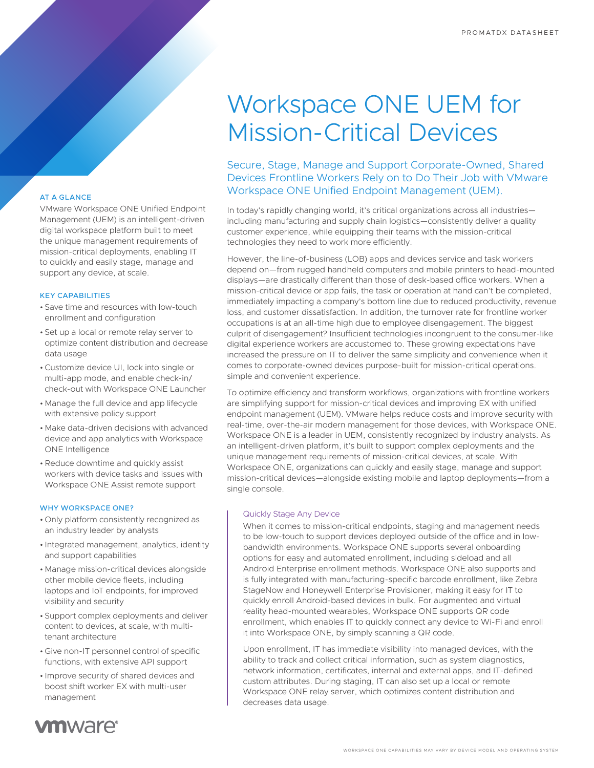# Workspace ONE UEM for Mission-Critical Devices

### Secure, Stage, Manage and Support Corporate-Owned, Shared Devices Frontline Workers Rely on to Do Their Job with VMware Workspace ONE Unified Endpoint Management (UEM).

In today's rapidly changing world, it's critical organizations across all industries including manufacturing and supply chain logistics—consistently deliver a quality customer experience, while equipping their teams with the mission-critical technologies they need to work more efficiently.

However, the line-of-business (LOB) apps and devices service and task workers depend on—from rugged handheld computers and mobile printers to head-mounted displays—are drastically different than those of desk-based office workers. When a mission-critical device or app fails, the task or operation at hand can't be completed, immediately impacting a company's bottom line due to reduced productivity, revenue loss, and customer dissatisfaction. In addition, the turnover rate for frontline worker occupations is at an all-time high due to employee disengagement. The biggest culprit of disengagement? Insufficient technologies incongruent to the consumer-like digital experience workers are accustomed to. These growing expectations have increased the pressure on IT to deliver the same simplicity and convenience when it comes to corporate-owned devices purpose-built for mission-critical operations. simple and convenient experience.

To optimize efficiency and transform workflows, organizations with frontline workers are simplifying support for mission-critical devices and improving EX with unified endpoint management (UEM). VMware helps reduce costs and improve security with real-time, over-the-air modern management for those devices, with Workspace ONE. Workspace ONE is a leader in UEM, consistently recognized by industry analysts. As an intelligent-driven platform, it's built to support complex deployments and the unique management requirements of mission-critical devices, at scale. With Workspace ONE, organizations can quickly and easily stage, manage and support mission-critical devices—alongside existing mobile and laptop deployments—from a single console.

### Quickly Stage Any Device

When it comes to mission-critical endpoints, staging and management needs to be low-touch to support devices deployed outside of the office and in lowbandwidth environments. Workspace ONE supports several onboarding options for easy and automated enrollment, including sideload and all Android Enterprise enrollment methods. Workspace ONE also supports and is fully integrated with manufacturing-specific barcode enrollment, like Zebra StageNow and Honeywell Enterprise Provisioner, making it easy for IT to quickly enroll Android-based devices in bulk. For augmented and virtual reality head-mounted wearables, Workspace ONE supports QR code enrollment, which enables IT to quickly connect any device to Wi-Fi and enroll it into Workspace ONE, by simply scanning a QR code.

Upon enrollment, IT has immediate visibility into managed devices, with the ability to track and collect critical information, such as system diagnostics, network information, certificates, internal and external apps, and IT-defined custom attributes. During staging, IT can also set up a local or remote Workspace ONE relay server, which optimizes content distribution and decreases data usage.

### AT A GLANCE

VMware Workspace ONE Unified Endpoint Management (UEM) is an intelligent-driven digital workspace platform built to meet the unique management requirements of mission-critical deployments, enabling IT to quickly and easily stage, manage and support any device, at scale.

### KEY CAPABILITIES

- Save time and resources with low-touch enrollment and configuration
- Set up a local or remote relay server to optimize content distribution and decrease data usage
- •Customize device UI, lock into single or multi-app mode, and enable check-in/ check-out with Workspace ONE Launcher
- Manage the full device and app lifecycle with extensive policy support
- Make data-driven decisions with advanced device and app analytics with Workspace ONE Intelligence
- •Reduce downtime and quickly assist workers with device tasks and issues with Workspace ONE Assist remote support

### WHY WORKSPACE ONE?

- Only platform consistently recognized as an industry leader by analysts
- Integrated management, analytics, identity and support capabilities
- Manage mission-critical devices alongside other mobile device fleets, including laptops and IoT endpoints, for improved visibility and security
- Support complex deployments and deliver content to devices, at scale, with multitenant architecture
- Give non-IT personnel control of specific functions, with extensive API support
- Improve security of shared devices and boost shift worker EX with multi-user management

## **vmware**<sup>®</sup>